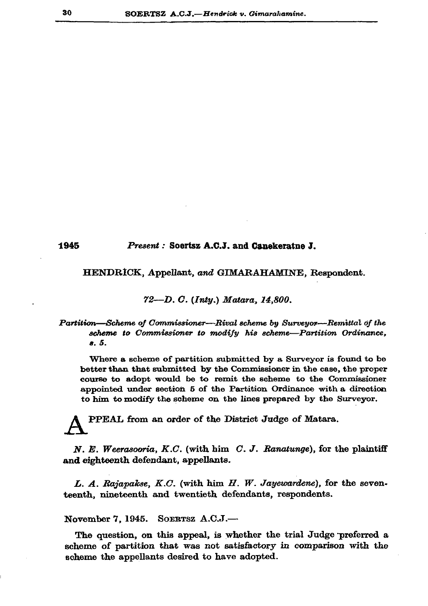# 1945

#### Present: Soertsz A.C.J. and Canekeratne J.

### HENDRICK, Appellant, and GIMARAHAMINE, Respondent.

## 72-D. C. (Inty.) Matara, 14,800.

## Partition—Scheme of Commissioner—Rival scheme by Surveyor—Remittal of the scheme to Commissioner to modify his scheme-Partition Ordinance, a. 5.

Where a scheme of partition submitted by a Surveyor is found to be better than that submitted by the Commissioner in the case, the proper course to adopt would be to remit the scheme to the Commissioner appointed under section 5 of the Partition Ordinance with a direction to him to modify the scheme on the lines prepared by the Surveyor.

PPEAL from an order of the District Judge of Matara.

N. E. Weerasooria, K.C. (with him C. J. Ranatunge), for the plaintiff and eighteenth defendant, appellants.

L. A. Rajapakse, K.C. (with him  $H$ . W. Jayewardene), for the seventeenth, nineteenth and twentieth defendants, respondents.

#### SOERTSZ  $A.C.J.$ — November 7, 1945.

The question, on this appeal, is whether the trial Judge preferred a scheme of partition that was not satisfactory in comparison with the scheme the appellants desired to have adopted.